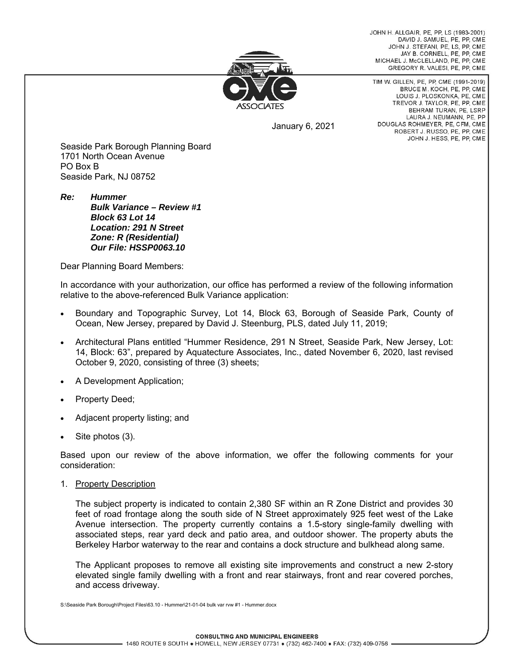JOHN H. ALLGAIR, PE, PP, LS (1983-2001) DAVID J. SAMUEL, PE, PP, CME JOHN J. STEFANI, PE, LS, PP, CME JAY B. CORNELL, PE, PP, CME MICHAEL J. McCLELLAND, PE. PP. CME GREGORY R. VALESI, PE, PP, CME



January 6, 2021

TIM W. GILLEN, PE, PP, CME (1991-2019) BRUCE M. KOCH, PE, PP, CME LOUIS J. PLOSKONKA, PE, CME TREVOR J. TAYLOR, PE, PP, CME BEHRAM TURAN, PE. LSRP LAURA J. NEUMANN, PE, PP DOUGLAS ROHMEYER, PE, CFM, CME ROBERT J. RUSSO, PE, PP, CME JOHN J. HESS, PE, PP, CME

Seaside Park Borough Planning Board 1701 North Ocean Avenue PO Box B Seaside Park, NJ 08752

*Re: Hummer Bulk Variance – Review #1 Block 63 Lot 14 Location: 291 N Street Zone: R (Residential) Our File: HSSP0063.10* 

Dear Planning Board Members:

In accordance with your authorization, our office has performed a review of the following information relative to the above-referenced Bulk Variance application:

- Boundary and Topographic Survey, Lot 14, Block 63, Borough of Seaside Park, County of Ocean, New Jersey, prepared by David J. Steenburg, PLS, dated July 11, 2019;
- Architectural Plans entitled "Hummer Residence, 291 N Street, Seaside Park, New Jersey, Lot: 14, Block: 63", prepared by Aquatecture Associates, Inc., dated November 6, 2020, last revised October 9, 2020, consisting of three (3) sheets;
- A Development Application;
- Property Deed;
- Adjacent property listing; and
- Site photos (3).

Based upon our review of the above information, we offer the following comments for your consideration:

1. Property Description

The subject property is indicated to contain 2,380 SF within an R Zone District and provides 30 feet of road frontage along the south side of N Street approximately 925 feet west of the Lake Avenue intersection. The property currently contains a 1.5-story single-family dwelling with associated steps, rear yard deck and patio area, and outdoor shower. The property abuts the Berkeley Harbor waterway to the rear and contains a dock structure and bulkhead along same.

The Applicant proposes to remove all existing site improvements and construct a new 2-story elevated single family dwelling with a front and rear stairways, front and rear covered porches, and access driveway.

S:\Seaside Park Borough\Project Files\63.10 - Hummer\21-01-04 bulk var rvw #1 - Hummer.docx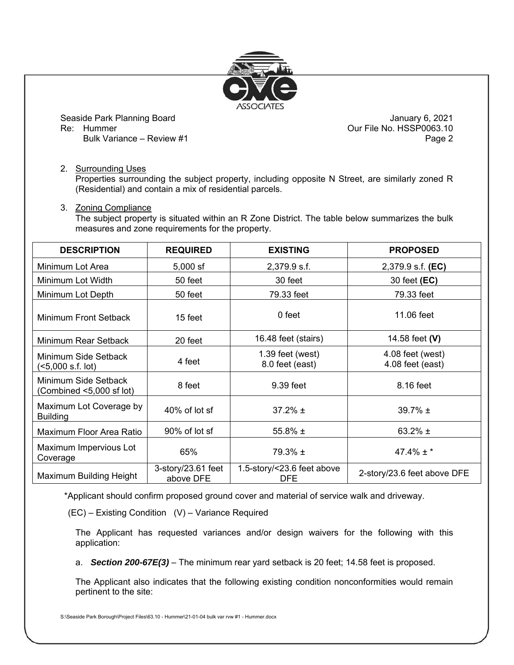

Seaside Park Planning Board January 6, 2021

Our File No. HSSP0063.10 Bulk Variance – Review #1 Page 2

## 2. Surrounding Uses

Properties surrounding the subject property, including opposite N Street, are similarly zoned R (Residential) and contain a mix of residential parcels.

## 3. Zoning Compliance

The subject property is situated within an R Zone District. The table below summarizes the bulk measures and zone requirements for the property.

| <b>DESCRIPTION</b>                               | <b>REQUIRED</b>                 | <b>EXISTING</b>                          | <b>PROPOSED</b>                      |
|--------------------------------------------------|---------------------------------|------------------------------------------|--------------------------------------|
| Minimum Lot Area                                 | $5,000$ sf                      | 2,379.9 s.f.                             | 2,379.9 s.f. (EC)                    |
| Minimum Lot Width                                | 50 feet                         | 30 feet                                  | 30 feet (EC)                         |
| Minimum Lot Depth                                | 50 feet                         | 79.33 feet                               | 79.33 feet                           |
| Minimum Front Setback                            | 15 feet                         | 0 feet                                   | 11.06 feet                           |
| Minimum Rear Setback                             | 20 feet                         | 16.48 feet (stairs)                      | 14.58 feet (V)                       |
| Minimum Side Setback<br>(<5,000 s.f. lot)        | 4 feet                          | $1.39$ feet (west)<br>8.0 feet (east)    | 4.08 feet (west)<br>4.08 feet (east) |
| Minimum Side Setback<br>(Combined <5,000 sf lot) | 8 feet                          | 9.39 feet                                | 8.16 feet                            |
| Maximum Lot Coverage by<br><b>Building</b>       | 40% of lot sf                   | $37.2% \pm$                              | 39.7% $\pm$                          |
| Maximum Floor Area Ratio                         | 90% of lot sf                   | 55.8% $\pm$                              | 63.2% $\pm$                          |
| Maximum Impervious Lot<br>Coverage               | 65%                             | $79.3\% \pm$                             | $47.4\% \pm$ *                       |
| Maximum Building Height                          | 3-story/23.61 feet<br>above DFE | 1.5-story/<23.6 feet above<br><b>DFE</b> | 2-story/23.6 feet above DFE          |

\*Applicant should confirm proposed ground cover and material of service walk and driveway.

(EC) – Existing Condition (V) – Variance Required

The Applicant has requested variances and/or design waivers for the following with this application:

a. *Section 200-67E(3)* – The minimum rear yard setback is 20 feet; 14.58 feet is proposed.

The Applicant also indicates that the following existing condition nonconformities would remain pertinent to the site: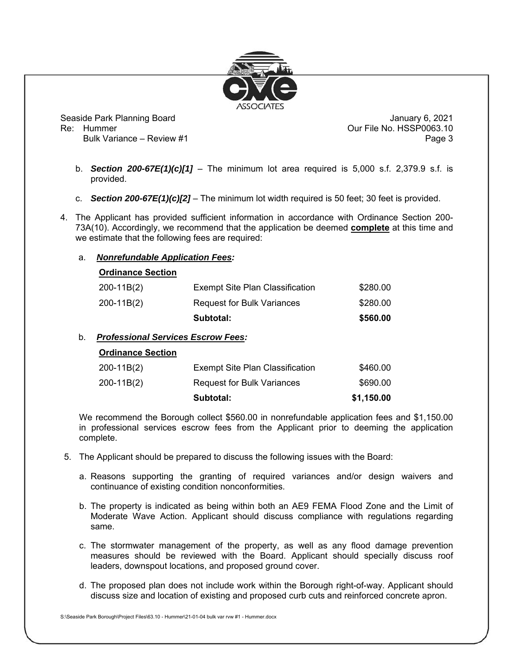

Seaside Park Planning Board January 6, 2021 Re: Hummer Communication Communication Communication Communication Communication Communication Communication Communication Communication Communication Communication Communication Communication Communication Communication C

Bulk Variance – Review #1 Page 3

- b. *Section 200-67E(1)(c)[1]* The minimum lot area required is 5,000 s.f. 2,379.9 s.f. is provided.
- c. *Section 200-67E(1)(c)[2]* The minimum lot width required is 50 feet; 30 feet is provided.
- 4. The Applicant has provided sufficient information in accordance with Ordinance Section 200- 73A(10). Accordingly, we recommend that the application be deemed **complete** at this time and we estimate that the following fees are required:

## a. *Nonrefundable Application Fees:*

| <b>Ordinance Section</b> |                                        |          |
|--------------------------|----------------------------------------|----------|
| 200-11B(2)               | <b>Exempt Site Plan Classification</b> | \$280.00 |
| 200-11B(2)               | Request for Bulk Variances             | \$280.00 |
|                          | Subtotal:                              | \$560.00 |

## b. *Professional Services Escrow Fees:*

| <b>Ordinance Section</b> |  |
|--------------------------|--|
|                          |  |

|            | Subtotal:                              | \$1,150.00 |
|------------|----------------------------------------|------------|
| 200-11B(2) | <b>Request for Bulk Variances</b>      | \$690.00   |
| 200-11B(2) | <b>Exempt Site Plan Classification</b> | \$460.00   |

We recommend the Borough collect \$560.00 in nonrefundable application fees and \$1,150.00 in professional services escrow fees from the Applicant prior to deeming the application complete.

- 5. The Applicant should be prepared to discuss the following issues with the Board:
	- a. Reasons supporting the granting of required variances and/or design waivers and continuance of existing condition nonconformities.
	- b. The property is indicated as being within both an AE9 FEMA Flood Zone and the Limit of Moderate Wave Action. Applicant should discuss compliance with regulations regarding same.
	- c. The stormwater management of the property, as well as any flood damage prevention measures should be reviewed with the Board. Applicant should specially discuss roof leaders, downspout locations, and proposed ground cover.
	- d. The proposed plan does not include work within the Borough right-of-way. Applicant should discuss size and location of existing and proposed curb cuts and reinforced concrete apron.

S:\Seaside Park Borough\Project Files\63.10 - Hummer\21-01-04 bulk var rvw #1 - Hummer.docx